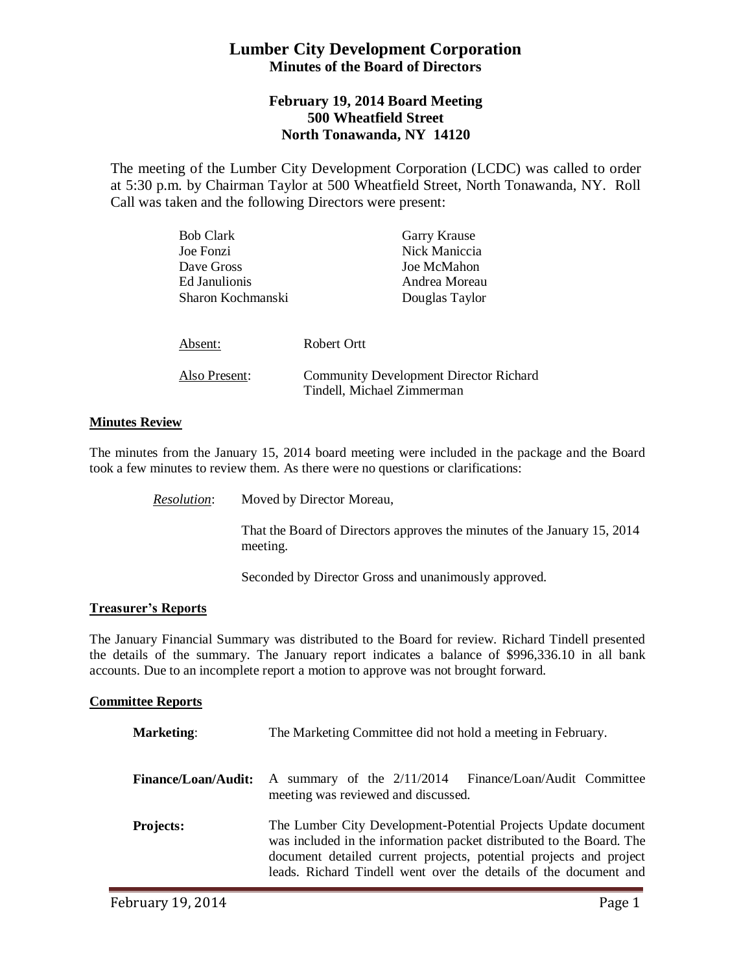# **Lumber City Development Corporation Minutes of the Board of Directors**

# **February 19, 2014 Board Meeting 500 Wheatfield Street North Tonawanda, NY 14120**

The meeting of the Lumber City Development Corporation (LCDC) was called to order at 5:30 p.m. by Chairman Taylor at 500 Wheatfield Street, North Tonawanda, NY. Roll Call was taken and the following Directors were present:

| <b>Bob Clark</b>  | Garry Krause                                                                |
|-------------------|-----------------------------------------------------------------------------|
| Joe Fonzi         | Nick Maniccia                                                               |
| Dave Gross        | Joe McMahon                                                                 |
| Ed Janulionis     | Andrea Moreau                                                               |
| Sharon Kochmanski | Douglas Taylor                                                              |
|                   |                                                                             |
| Absent:           | Robert Ortt                                                                 |
| Also Present:     | <b>Community Development Director Richard</b><br>Tindell, Michael Zimmerman |

## **Minutes Review**

The minutes from the January 15, 2014 board meeting were included in the package and the Board took a few minutes to review them. As there were no questions or clarifications:

*Resolution*: Moved by Director Moreau,

That the Board of Directors approves the minutes of the January 15, 2014 meeting.

Seconded by Director Gross and unanimously approved.

#### **Treasurer's Reports**

The January Financial Summary was distributed to the Board for review. Richard Tindell presented the details of the summary. The January report indicates a balance of \$996,336.10 in all bank accounts. Due to an incomplete report a motion to approve was not brought forward.

#### **Committee Reports**

| <b>Marketing:</b>          | The Marketing Committee did not hold a meeting in February.                                                                                                                                                                                                                      |
|----------------------------|----------------------------------------------------------------------------------------------------------------------------------------------------------------------------------------------------------------------------------------------------------------------------------|
| <b>Finance/Loan/Audit:</b> | Finance/Loan/Audit Committee<br>A summary of the $2/11/2014$<br>meeting was reviewed and discussed.                                                                                                                                                                              |
| <b>Projects:</b>           | The Lumber City Development-Potential Projects Update document<br>was included in the information packet distributed to the Board. The<br>document detailed current projects, potential projects and project<br>leads. Richard Tindell went over the details of the document and |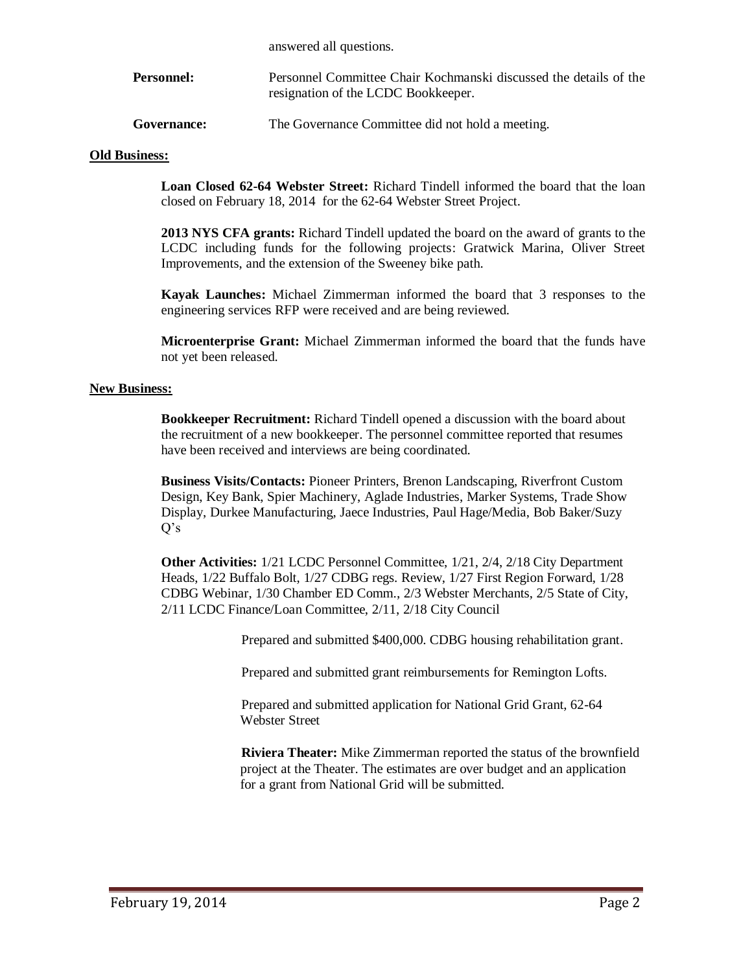answered all questions.

**Personnel:** Personnel Committee Chair Kochmanski discussed the details of the resignation of the LCDC Bookkeeper.

Governance: The Governance Committee did not hold a meeting.

### **Old Business:**

**Loan Closed 62-64 Webster Street:** Richard Tindell informed the board that the loan closed on February 18, 2014 for the 62-64 Webster Street Project.

**2013 NYS CFA grants:** Richard Tindell updated the board on the award of grants to the LCDC including funds for the following projects: Gratwick Marina, Oliver Street Improvements, and the extension of the Sweeney bike path.

**Kayak Launches:** Michael Zimmerman informed the board that 3 responses to the engineering services RFP were received and are being reviewed.

**Microenterprise Grant:** Michael Zimmerman informed the board that the funds have not yet been released.

#### **New Business:**

**Bookkeeper Recruitment:** Richard Tindell opened a discussion with the board about the recruitment of a new bookkeeper. The personnel committee reported that resumes have been received and interviews are being coordinated.

**Business Visits/Contacts:** Pioneer Printers, Brenon Landscaping, Riverfront Custom Design, Key Bank, Spier Machinery, Aglade Industries, Marker Systems, Trade Show Display, Durkee Manufacturing, Jaece Industries, Paul Hage/Media, Bob Baker/Suzy Q's

**Other Activities:** 1/21 LCDC Personnel Committee, 1/21, 2/4, 2/18 City Department Heads, 1/22 Buffalo Bolt, 1/27 CDBG regs. Review, 1/27 First Region Forward, 1/28 CDBG Webinar, 1/30 Chamber ED Comm., 2/3 Webster Merchants, 2/5 State of City, 2/11 LCDC Finance/Loan Committee, 2/11, 2/18 City Council

Prepared and submitted \$400,000. CDBG housing rehabilitation grant.

Prepared and submitted grant reimbursements for Remington Lofts.

Prepared and submitted application for National Grid Grant, 62-64 Webster Street

**Riviera Theater:** Mike Zimmerman reported the status of the brownfield project at the Theater. The estimates are over budget and an application for a grant from National Grid will be submitted.